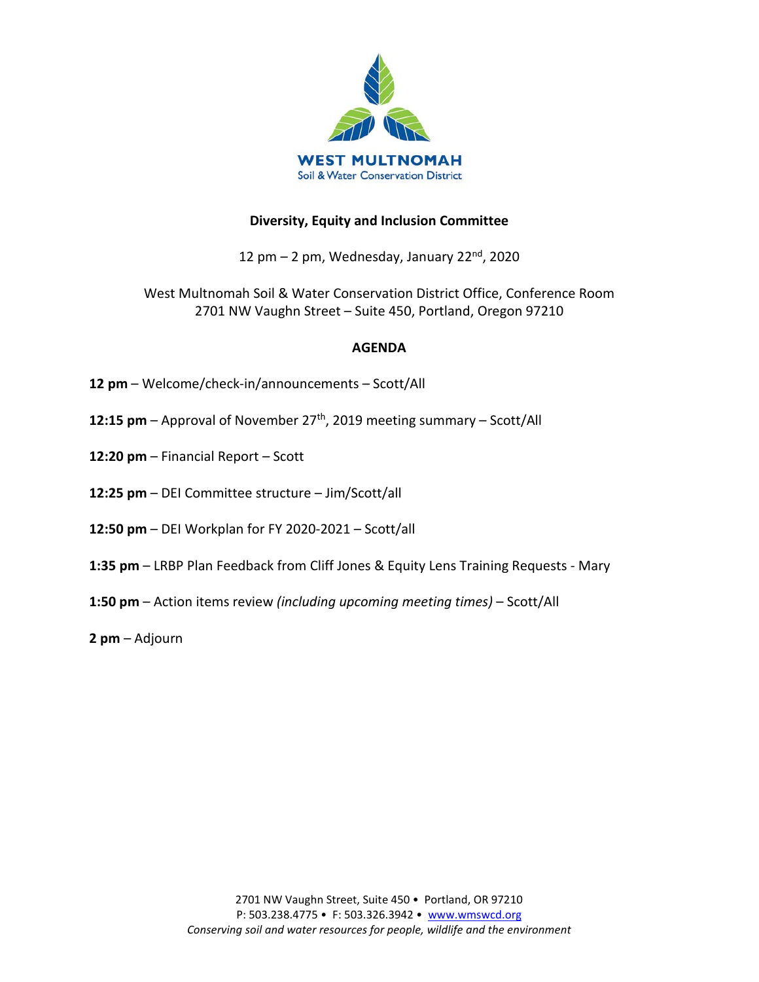

#### **Diversity, Equity and Inclusion Committee**

12 pm  $-$  2 pm, Wednesday, January 22 $nd$ , 2020

West Multnomah Soil & Water Conservation District Office, Conference Room 2701 NW Vaughn Street – Suite 450, Portland, Oregon 97210

#### **AGENDA**

- **12 pm**  Welcome/check-in/announcements Scott/All
- **12:15 pm**  Approval of November 27th, 2019 meeting summary Scott/All
- **12:20 pm**  Financial Report Scott
- **12:25 pm**  DEI Committee structure Jim/Scott/all
- **12:50 pm**  DEI Workplan for FY 2020-2021 Scott/all
- **1:35 pm**  LRBP Plan Feedback from Cliff Jones & Equity Lens Training Requests Mary
- **1:50 pm**  Action items review *(including upcoming meeting times)* Scott/All

**2 pm** – Adjourn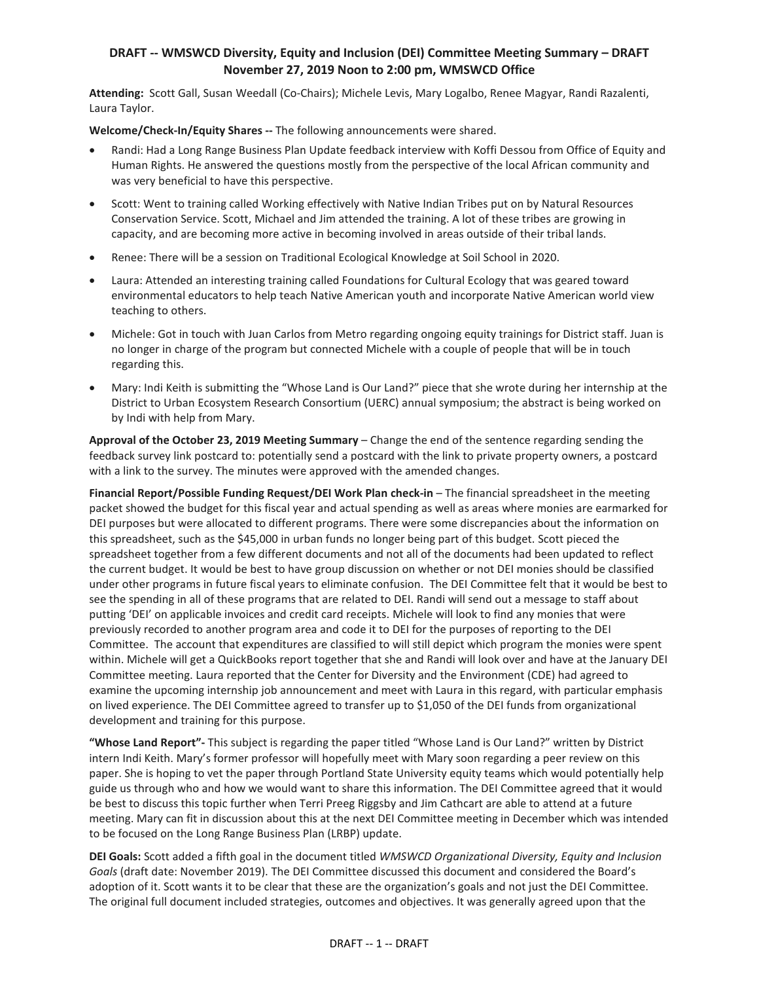#### **DRAFT -- WMSWCD Diversity, Equity and Inclusion (DEI) Committee Meeting Summary – DRAFT November 27, 2019 Noon to 2:00 pm, WMSWCD Office**

**Attending:** Scott Gall, Susan Weedall (Co-Chairs); Michele Levis, Mary Logalbo, Renee Magyar, Randi Razalenti, Laura Taylor.

**Welcome/Check-In/Equity Shares --** The following announcements were shared.

- Randi: Had a Long Range Business Plan Update feedback interview with Koffi Dessou from Office of Equity and Human Rights. He answered the questions mostly from the perspective of the local African community and was very beneficial to have this perspective.
- Scott: Went to training called Working effectively with Native Indian Tribes put on by Natural Resources Conservation Service. Scott, Michael and Jim attended the training. A lot of these tribes are growing in capacity, and are becoming more active in becoming involved in areas outside of their tribal lands.
- Renee: There will be a session on Traditional Ecological Knowledge at Soil School in 2020.
- Laura: Attended an interesting training called Foundations for Cultural Ecology that was geared toward environmental educators to help teach Native American youth and incorporate Native American world view teaching to others.
- Michele: Got in touch with Juan Carlos from Metro regarding ongoing equity trainings for District staff. Juan is no longer in charge of the program but connected Michele with a couple of people that will be in touch regarding this.
- Mary: Indi Keith is submitting the "Whose Land is Our Land?" piece that she wrote during her internship at the District to Urban Ecosystem Research Consortium (UERC) annual symposium; the abstract is being worked on by Indi with help from Mary.

**Approval of the October 23, 2019 Meeting Summary** – Change the end of the sentence regarding sending the feedback survey link postcard to: potentially send a postcard with the link to private property owners, a postcard with a link to the survey. The minutes were approved with the amended changes.

**Financial Report/Possible Funding Request/DEI Work Plan check-in** – The financial spreadsheet in the meeting packet showed the budget for this fiscal year and actual spending as well as areas where monies are earmarked for DEI purposes but were allocated to different programs. There were some discrepancies about the information on this spreadsheet, such as the \$45,000 in urban funds no longer being part of this budget. Scott pieced the spreadsheet together from a few different documents and not all of the documents had been updated to reflect the current budget. It would be best to have group discussion on whether or not DEI monies should be classified under other programs in future fiscal years to eliminate confusion. The DEI Committee felt that it would be best to see the spending in all of these programs that are related to DEI. Randi will send out a message to staff about putting 'DEI' on applicable invoices and credit card receipts. Michele will look to find any monies that were previously recorded to another program area and code it to DEI for the purposes of reporting to the DEI Committee. The account that expenditures are classified to will still depict which program the monies were spent within. Michele will get a QuickBooks report together that she and Randi will look over and have at the January DEI Committee meeting. Laura reported that the Center for Diversity and the Environment (CDE) had agreed to examine the upcoming internship job announcement and meet with Laura in this regard, with particular emphasis on lived experience. The DEI Committee agreed to transfer up to \$1,050 of the DEI funds from organizational development and training for this purpose.

**"Whose Land Report"-** This subject is regarding the paper titled "Whose Land is Our Land?" written by District intern Indi Keith. Mary's former professor will hopefully meet with Mary soon regarding a peer review on this paper. She is hoping to vet the paper through Portland State University equity teams which would potentially help guide us through who and how we would want to share this information. The DEI Committee agreed that it would be best to discuss this topic further when Terri Preeg Riggsby and Jim Cathcart are able to attend at a future meeting. Mary can fit in discussion about this at the next DEI Committee meeting in December which was intended to be focused on the Long Range Business Plan (LRBP) update.

**DEI Goals:** Scott added a fifth goal in the document titled *WMSWCD Organizational Diversity, Equity and Inclusion Goals* (draft date: November 2019). The DEI Committee discussed this document and considered the Board's adoption of it. Scott wants it to be clear that these are the organization's goals and not just the DEI Committee. The original full document included strategies, outcomes and objectives. It was generally agreed upon that the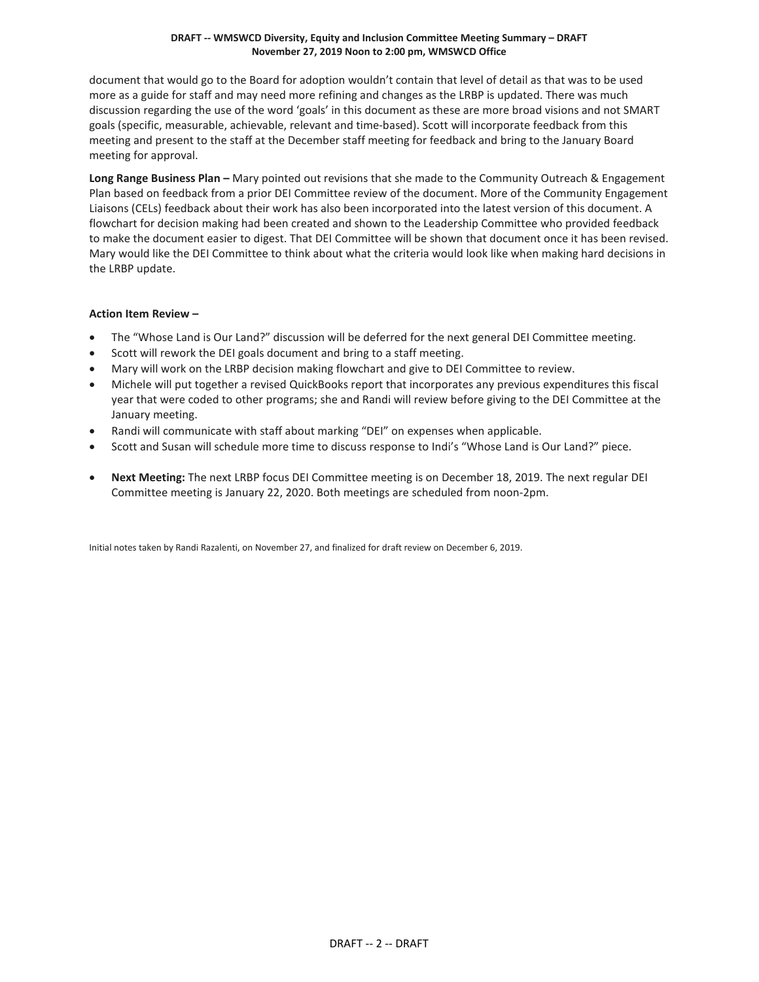#### **DRAFT -- WMSWCD Diversity, Equity and Inclusion Committee Meeting Summary – DRAFT November 27, 2019 Noon to 2:00 pm, WMSWCD Office**

document that would go to the Board for adoption wouldn't contain that level of detail as that was to be used more as a guide for staff and may need more refining and changes as the LRBP is updated. There was much discussion regarding the use of the word 'goals' in this document as these are more broad visions and not SMART goals (specific, measurable, achievable, relevant and time-based). Scott will incorporate feedback from this meeting and present to the staff at the December staff meeting for feedback and bring to the January Board meeting for approval.

**Long Range Business Plan –** Mary pointed out revisions that she made to the Community Outreach & Engagement Plan based on feedback from a prior DEI Committee review of the document. More of the Community Engagement Liaisons (CELs) feedback about their work has also been incorporated into the latest version of this document. A flowchart for decision making had been created and shown to the Leadership Committee who provided feedback to make the document easier to digest. That DEI Committee will be shown that document once it has been revised. Mary would like the DEI Committee to think about what the criteria would look like when making hard decisions in the LRBP update.

#### **Action Item Review –**

- The "Whose Land is Our Land?" discussion will be deferred for the next general DEI Committee meeting.
- Scott will rework the DEI goals document and bring to a staff meeting.
- Mary will work on the LRBP decision making flowchart and give to DEI Committee to review.
- Michele will put together a revised QuickBooks report that incorporates any previous expenditures this fiscal year that were coded to other programs; she and Randi will review before giving to the DEI Committee at the January meeting.
- Randi will communicate with staff about marking "DEI" on expenses when applicable.
- Scott and Susan will schedule more time to discuss response to Indi's "Whose Land is Our Land?" piece.
- **Next Meeting:** The next LRBP focus DEI Committee meeting is on December 18, 2019. The next regular DEI Committee meeting is January 22, 2020. Both meetings are scheduled from noon-2pm.

Initial notes taken by Randi Razalenti, on November 27, and finalized for draft review on December 6, 2019.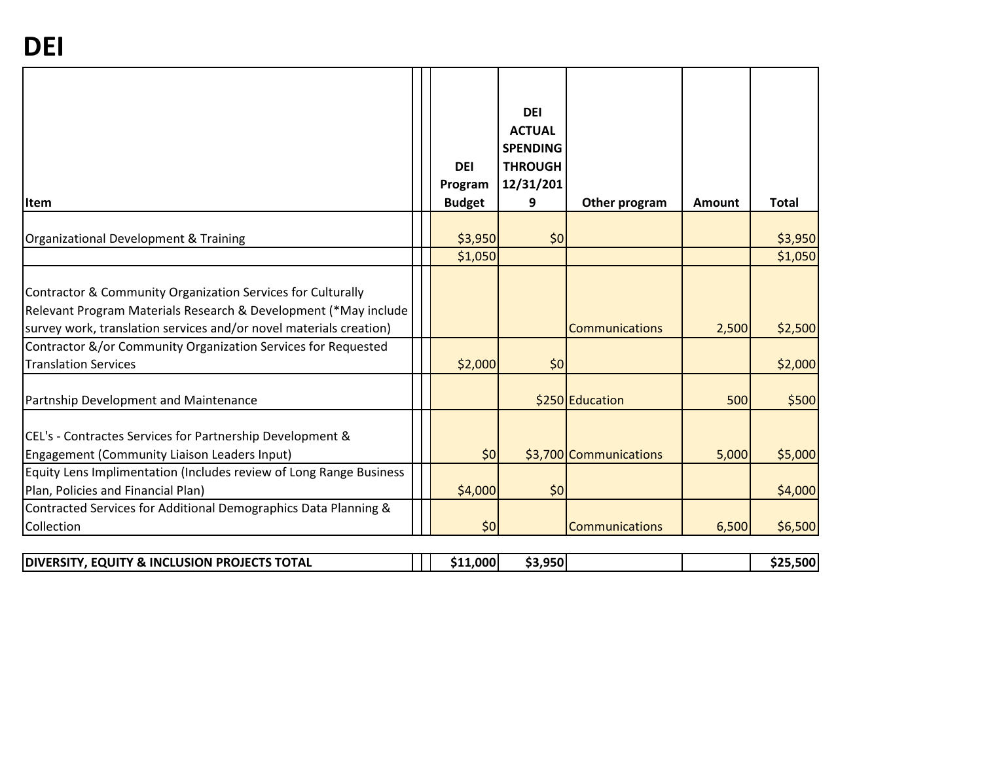| Item                                                                                                                                                                                                                                                                  | <b>DEI</b><br>Program<br><b>Budget</b> | <b>DEI</b><br><b>ACTUAL</b><br><b>SPENDING</b><br><b>THROUGH</b><br>12/31/201<br>9 | Other program          | Amount | <b>Total</b> |
|-----------------------------------------------------------------------------------------------------------------------------------------------------------------------------------------------------------------------------------------------------------------------|----------------------------------------|------------------------------------------------------------------------------------|------------------------|--------|--------------|
| Organizational Development & Training                                                                                                                                                                                                                                 | \$3,950                                | \$0                                                                                |                        |        | \$3,950      |
|                                                                                                                                                                                                                                                                       | \$1,050                                |                                                                                    |                        |        | \$1,050      |
| Contractor & Community Organization Services for Culturally<br>Relevant Program Materials Research & Development (*May include<br>survey work, translation services and/or novel materials creation)<br>Contractor &/or Community Organization Services for Requested |                                        |                                                                                    | Communications         | 2,500  | \$2,500      |
| <b>Translation Services</b>                                                                                                                                                                                                                                           | \$2,000                                | \$0                                                                                |                        |        | \$2,000      |
| Partnship Development and Maintenance                                                                                                                                                                                                                                 |                                        |                                                                                    | \$250 Education        | 500    | \$500        |
| CEL's - Contractes Services for Partnership Development &<br>Engagement (Community Liaison Leaders Input)                                                                                                                                                             | \$0                                    |                                                                                    | \$3,700 Communications | 5,000  | \$5,000      |
| Equity Lens Implimentation (Includes review of Long Range Business<br>Plan, Policies and Financial Plan)                                                                                                                                                              | \$4,000                                | \$0                                                                                |                        |        | \$4,000      |
| Contracted Services for Additional Demographics Data Planning &<br>Collection                                                                                                                                                                                         | \$0                                    |                                                                                    | Communications         | 6,500  | \$6,500      |

| <b>1. EQUITY &amp; INCLUSION PROJECTS TOTAL</b><br><b>DIVERSITY,</b> |  | $1.000^\dagger$ | .950 |  |  | .500 <sub>1</sub> |
|----------------------------------------------------------------------|--|-----------------|------|--|--|-------------------|
|----------------------------------------------------------------------|--|-----------------|------|--|--|-------------------|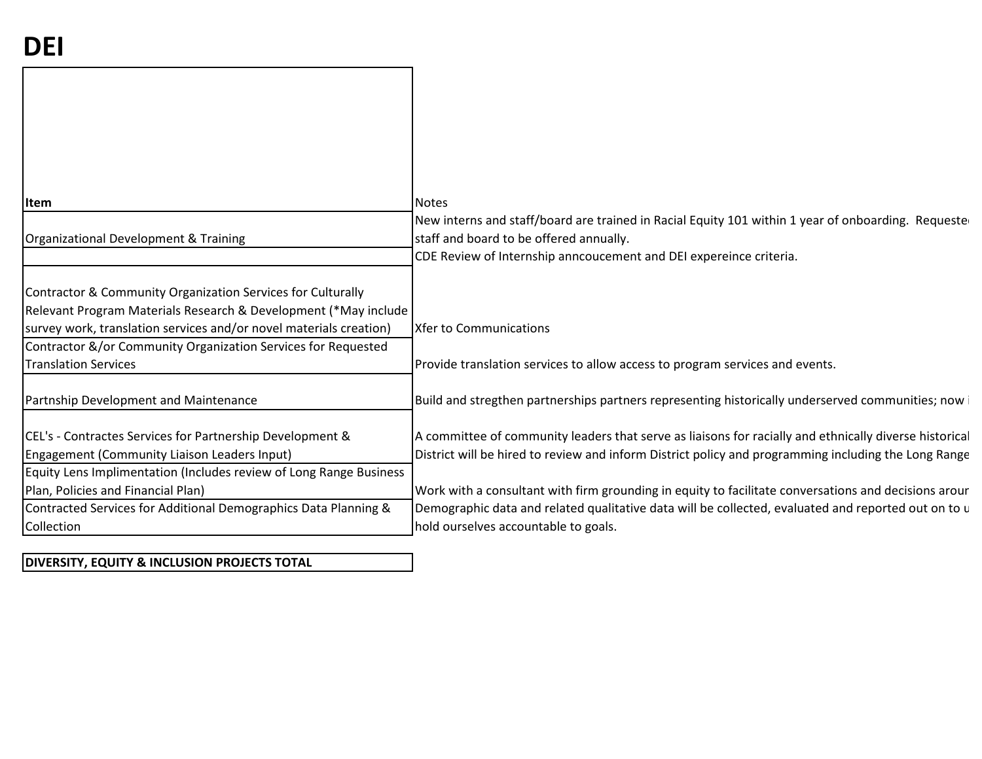| <b>Item</b>                                                        | <b>Notes</b>                                                                                           |
|--------------------------------------------------------------------|--------------------------------------------------------------------------------------------------------|
|                                                                    | New interns and staff/board are trained in Racial Equity 101 within 1 year of onboarding. Requested    |
| Organizational Development & Training                              | staff and board to be offered annually.                                                                |
|                                                                    | CDE Review of Internship anncoucement and DEI expereince criteria.                                     |
| Contractor & Community Organization Services for Culturally        |                                                                                                        |
| Relevant Program Materials Research & Development (*May include    |                                                                                                        |
| survey work, translation services and/or novel materials creation) | <b>Xfer to Communications</b>                                                                          |
| Contractor &/or Community Organization Services for Requested      |                                                                                                        |
| <b>Translation Services</b>                                        | Provide translation services to allow access to program services and events.                           |
|                                                                    |                                                                                                        |
| Partnship Development and Maintenance                              | Build and stregthen partnerships partners representing historically underserved communities; now i     |
|                                                                    |                                                                                                        |
| CEL's - Contractes Services for Partnership Development &          | A committee of community leaders that serve as liaisons for racially and ethnically diverse historical |
| Engagement (Community Liaison Leaders Input)                       | District will be hired to review and inform District policy and programming including the Long Range   |
| Equity Lens Implimentation (Includes review of Long Range Business |                                                                                                        |
| Plan, Policies and Financial Plan)                                 | Work with a consultant with firm grounding in equity to facilitate conversations and decisions arour   |
| Contracted Services for Additional Demographics Data Planning &    | Demographic data and related qualitative data will be collected, evaluated and reported out on to u    |
| Collection                                                         | hold ourselves accountable to goals.                                                                   |
|                                                                    |                                                                                                        |

**DIVERSITY, EQUITY & INCLUSION PROJECTS TOTAL**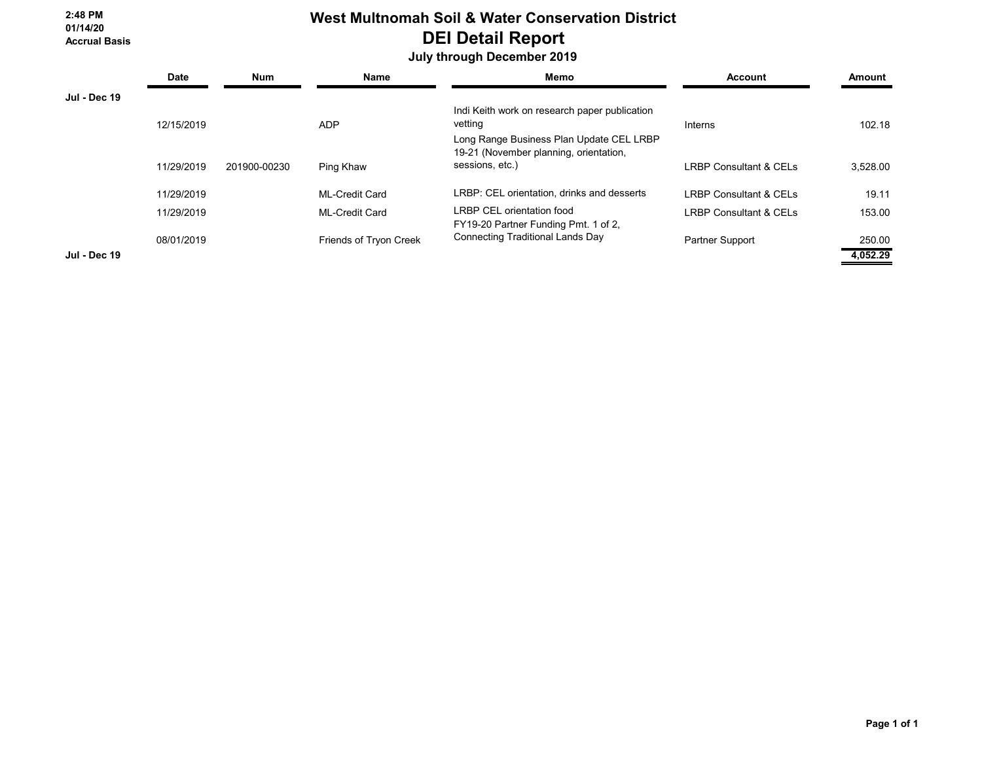#### **2:48 PM 01/14/20 Accrual Basis**

# **West Multnomah Soil & Water Conservation District DEI Detail Report**

## **July through December 2019**

|                     | <b>Date</b> | <b>Num</b>   | <b>Name</b>            | Memo                                                                               | <b>Account</b>                    | Amount   |
|---------------------|-------------|--------------|------------------------|------------------------------------------------------------------------------------|-----------------------------------|----------|
| <b>Jul - Dec 19</b> |             |              |                        |                                                                                    |                                   |          |
|                     |             |              |                        | Indi Keith work on research paper publication                                      |                                   |          |
|                     | 12/15/2019  |              | <b>ADP</b>             | vetting                                                                            | Interns                           | 102.18   |
|                     |             |              |                        | Long Range Business Plan Update CEL LRBP<br>19-21 (November planning, orientation, |                                   |          |
|                     | 11/29/2019  | 201900-00230 | Ping Khaw              | sessions, etc.)                                                                    | <b>LRBP Consultant &amp; CELs</b> | 3.528.00 |
|                     | 11/29/2019  |              | <b>ML-Credit Card</b>  | LRBP: CEL orientation, drinks and desserts                                         | <b>LRBP Consultant &amp; CELs</b> | 19.11    |
|                     | 11/29/2019  |              | <b>ML-Credit Card</b>  | <b>LRBP CEL orientation food</b>                                                   | <b>LRBP Consultant &amp; CELs</b> | 153.00   |
|                     |             |              |                        | FY19-20 Partner Funding Pmt. 1 of 2.                                               |                                   |          |
|                     | 08/01/2019  |              | Friends of Tryon Creek | <b>Connecting Traditional Lands Day</b>                                            | Partner Support                   | 250.00   |
| <b>Jul - Dec 19</b> |             |              |                        |                                                                                    |                                   | 4,052.29 |

 **Page 1 of 1**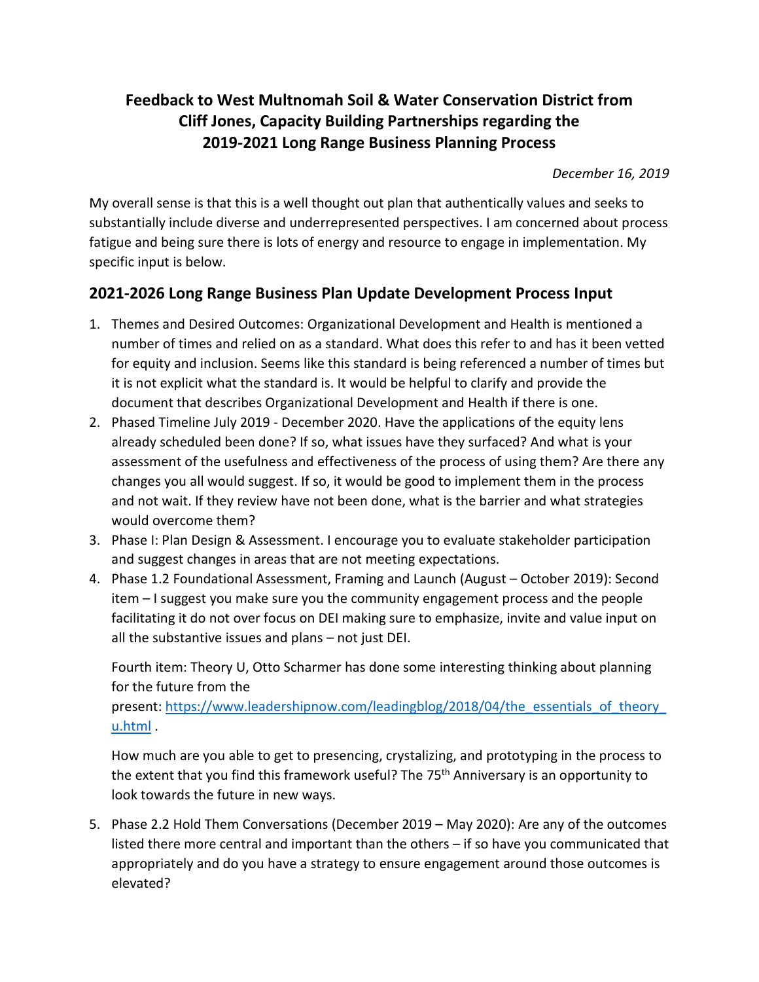# **Feedback to West Multnomah Soil & Water Conservation District from Cliff Jones, Capacity Building Partnerships regarding the 2019-2021 Long Range Business Planning Process**

*December 16, 2019*

My overall sense is that this is a well thought out plan that authentically values and seeks to substantially include diverse and underrepresented perspectives. I am concerned about process fatigue and being sure there is lots of energy and resource to engage in implementation. My specific input is below.

# **2021-2026 Long Range Business Plan Update Development Process Input**

- 1. Themes and Desired Outcomes: Organizational Development and Health is mentioned a number of times and relied on as a standard. What does this refer to and has it been vetted for equity and inclusion. Seems like this standard is being referenced a number of times but it is not explicit what the standard is. It would be helpful to clarify and provide the document that describes Organizational Development and Health if there is one.
- 2. Phased Timeline July 2019 December 2020. Have the applications of the equity lens already scheduled been done? If so, what issues have they surfaced? And what is your assessment of the usefulness and effectiveness of the process of using them? Are there any changes you all would suggest. If so, it would be good to implement them in the process and not wait. If they review have not been done, what is the barrier and what strategies would overcome them?
- 3. Phase I: Plan Design & Assessment. I encourage you to evaluate stakeholder participation and suggest changes in areas that are not meeting expectations.
- 4. Phase 1.2 Foundational Assessment, Framing and Launch (August October 2019): Second item – I suggest you make sure you the community engagement process and the people facilitating it do not over focus on DEI making sure to emphasize, invite and value input on all the substantive issues and plans – not just DEI.

Fourth item: Theory U, Otto Scharmer has done some interesting thinking about planning for the future from the

present: [https://www.leadershipnow.com/leadingblog/2018/04/the\\_essentials\\_of\\_theory\\_](https://www.leadershipnow.com/leadingblog/2018/04/the_essentials_of_theory_u.html) [u.html](https://www.leadershipnow.com/leadingblog/2018/04/the_essentials_of_theory_u.html) .

How much are you able to get to presencing, crystalizing, and prototyping in the process to the extent that you find this framework useful? The 75<sup>th</sup> Anniversary is an opportunity to look towards the future in new ways.

5. Phase 2.2 Hold Them Conversations (December 2019 – May 2020): Are any of the outcomes listed there more central and important than the others – if so have you communicated that appropriately and do you have a strategy to ensure engagement around those outcomes is elevated?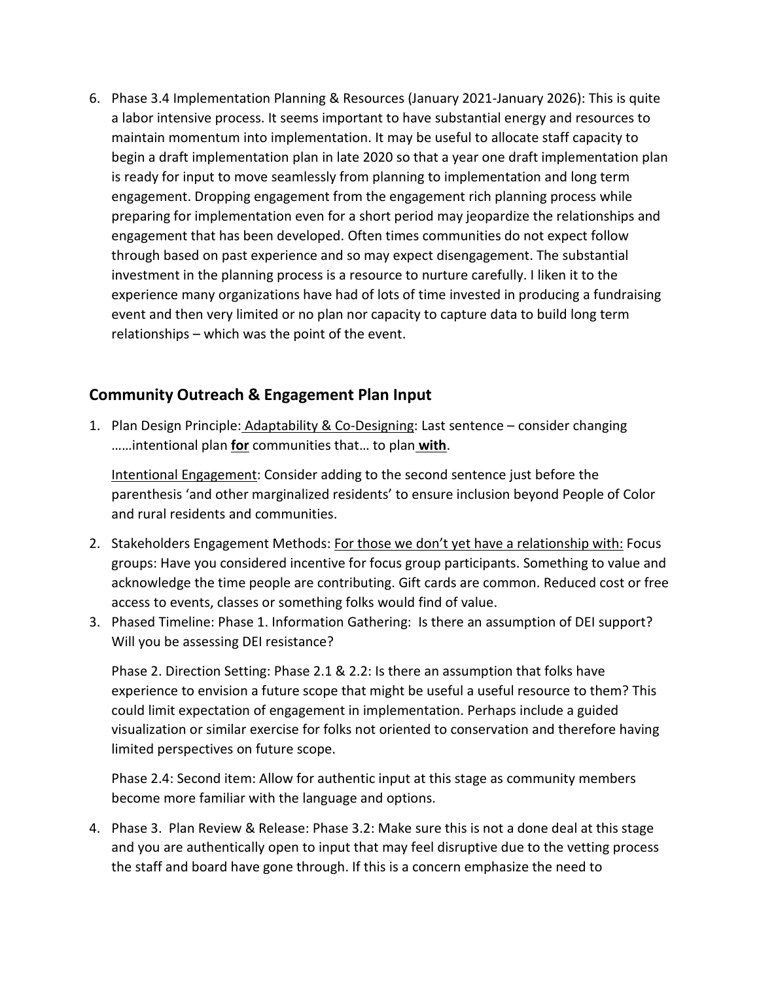6. Phase 3.4 Implementation Planning & Resources (January 2021-January 2026): This is quite a labor intensive process. It seems important to have substantial energy and resources to maintain momentum into implementation. It may be useful to allocate staff capacity to begin a draft implementation plan in late 2020 so that a year one draft implementation plan is ready for input to move seamlessly from planning to implementation and long term engagement. Dropping engagement from the engagement rich planning process while preparing for implementation even for a short period may jeopardize the relationships and engagement that has been developed. Often times communities do not expect follow through based on past experience and so may expect disengagement. The substantial investment in the planning process is a resource to nurture carefully. I liken it to the experience many organizations have had of lots of time invested in producing a fundraising event and then very limited or no plan nor capacity to capture data to build long term relationships – which was the point of the event.

## **Community Outreach & Engagement Plan Input**

1. Plan Design Principle: Adaptability & Co-Designing: Last sentence – consider changing ……intentional plan **for** communities that… to plan **with**.

Intentional Engagement: Consider adding to the second sentence just before the parenthesis 'and other marginalized residents' to ensure inclusion beyond People of Color and rural residents and communities.

- 2. Stakeholders Engagement Methods: For those we don't yet have a relationship with: Focus groups: Have you considered incentive for focus group participants. Something to value and acknowledge the time people are contributing. Gift cards are common. Reduced cost or free access to events, classes or something folks would find of value.
- 3. Phased Timeline: Phase 1. Information Gathering: Is there an assumption of DEI support? Will you be assessing DEI resistance?

Phase 2. Direction Setting: Phase 2.1 & 2.2: Is there an assumption that folks have experience to envision a future scope that might be useful a useful resource to them? This could limit expectation of engagement in implementation. Perhaps include a guided visualization or similar exercise for folks not oriented to conservation and therefore having limited perspectives on future scope.

Phase 2.4: Second item: Allow for authentic input at this stage as community members become more familiar with the language and options.

4. Phase 3. Plan Review & Release: Phase 3.2: Make sure this is not a done deal at this stage and you are authentically open to input that may feel disruptive due to the vetting process the staff and board have gone through. If this is a concern emphasize the need to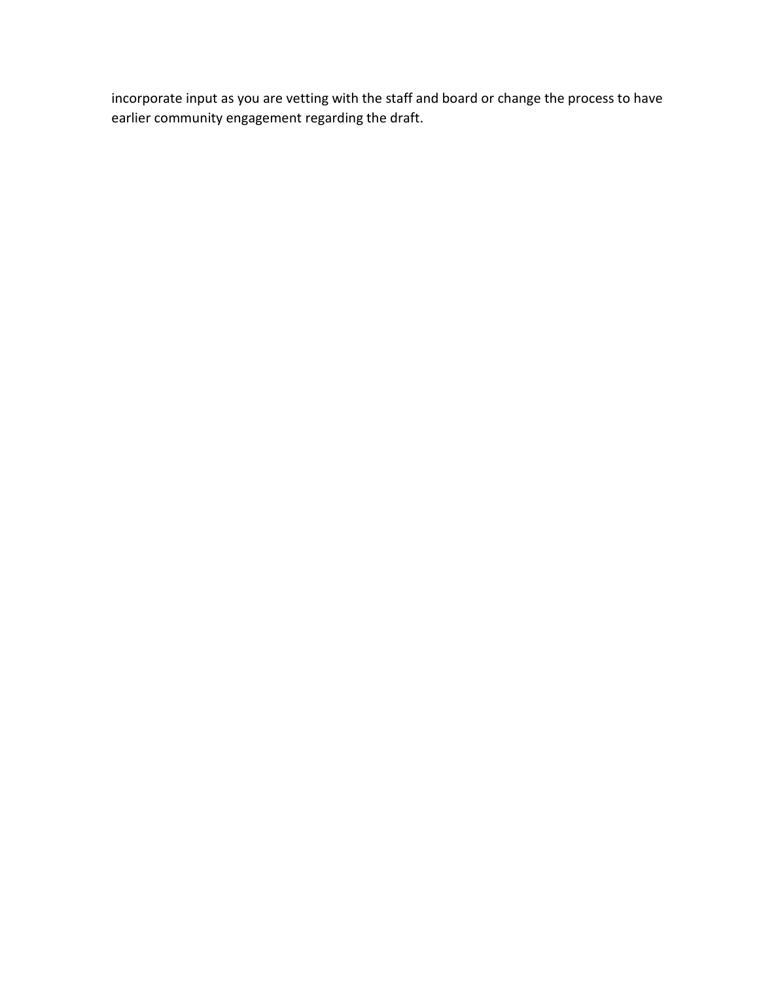incorporate input as you are vetting with the staff and board or change the process to have earlier community engagement regarding the draft.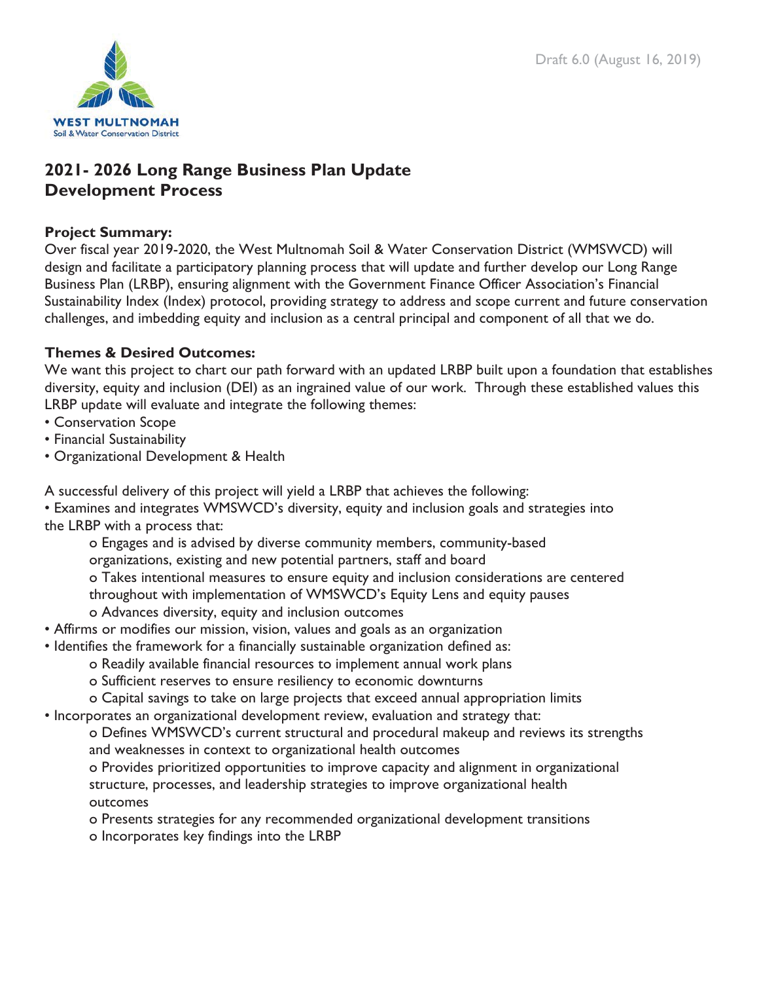

# **2021- 2026 Long Range Business Plan Update Development Process**

## **Project Summary:**

Over fiscal year 2019-2020, the West Multnomah Soil & Water Conservation District (WMSWCD) will design and facilitate a participatory planning process that will update and further develop our Long Range Business Plan (LRBP), ensuring alignment with the Government Finance Officer Association's Financial Sustainability Index (Index) protocol, providing strategy to address and scope current and future conservation challenges, and imbedding equity and inclusion as a central principal and component of all that we do.

## **Themes & Desired Outcomes:**

We want this project to chart our path forward with an updated LRBP built upon a foundation that establishes diversity, equity and inclusion (DEI) as an ingrained value of our work. Through these established values this LRBP update will evaluate and integrate the following themes:

- Conservation Scope
- Financial Sustainability
- Organizational Development & Health
- A successful delivery of this project will yield a LRBP that achieves the following:

• Examines and integrates WMSWCD's diversity, equity and inclusion goals and strategies into the LRBP with a process that:

- o Engages and is advised by diverse community members, community-based organizations, existing and new potential partners, staff and board o Takes intentional measures to ensure equity and inclusion considerations are centered throughout with implementation of WMSWCD's Equity Lens and equity pauses o Advances diversity, equity and inclusion outcomes
- Affirms or modifies our mission, vision, values and goals as an organization
- Identifies the framework for a financially sustainable organization defined as:
	- o Readily available financial resources to implement annual work plans
	- o Sufficient reserves to ensure resiliency to economic downturns
	- o Capital savings to take on large projects that exceed annual appropriation limits
- Incorporates an organizational development review, evaluation and strategy that:

o Defines WMSWCD's current structural and procedural makeup and reviews its strengths and weaknesses in context to organizational health outcomes

o Provides prioritized opportunities to improve capacity and alignment in organizational structure, processes, and leadership strategies to improve organizational health outcomes

o Presents strategies for any recommended organizational development transitions o Incorporates key findings into the LRBP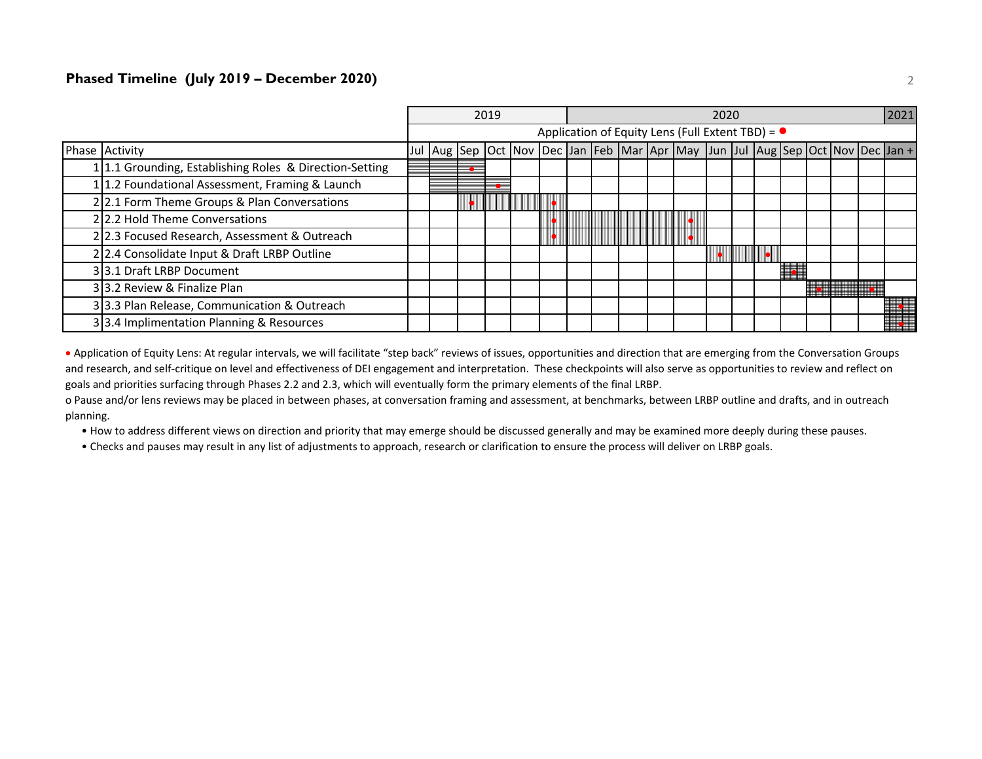#### **Phased Timeline (July 2019 – December 2020)** 2

|                                                         | 2019                                                     |                                                                               |  |  | 2020 |  |  |  |  |  |  |  |  |  |  | 2021 |  |  |  |
|---------------------------------------------------------|----------------------------------------------------------|-------------------------------------------------------------------------------|--|--|------|--|--|--|--|--|--|--|--|--|--|------|--|--|--|
|                                                         | Application of Equity Lens (Full Extent TBD) = $\bullet$ |                                                                               |  |  |      |  |  |  |  |  |  |  |  |  |  |      |  |  |  |
| Phase Activity                                          |                                                          | Jul Aug Sep Oct Nov Dec Jan Feb Mar Apr May Jun Jul Aug Sep Oct Nov Dec Jan + |  |  |      |  |  |  |  |  |  |  |  |  |  |      |  |  |  |
| 1 1.1 Grounding, Establishing Roles & Direction-Setting |                                                          |                                                                               |  |  |      |  |  |  |  |  |  |  |  |  |  |      |  |  |  |
| 11.2 Foundational Assessment, Framing & Launch          |                                                          |                                                                               |  |  |      |  |  |  |  |  |  |  |  |  |  |      |  |  |  |
| 22.1 Form Theme Groups & Plan Conversations             |                                                          |                                                                               |  |  |      |  |  |  |  |  |  |  |  |  |  |      |  |  |  |
| 22.2 Hold Theme Conversations                           |                                                          |                                                                               |  |  |      |  |  |  |  |  |  |  |  |  |  |      |  |  |  |
| 22.3 Focused Research, Assessment & Outreach            |                                                          |                                                                               |  |  |      |  |  |  |  |  |  |  |  |  |  |      |  |  |  |
| 2 2.4 Consolidate Input & Draft LRBP Outline            |                                                          |                                                                               |  |  |      |  |  |  |  |  |  |  |  |  |  |      |  |  |  |
| 33.1 Draft LRBP Document                                |                                                          |                                                                               |  |  |      |  |  |  |  |  |  |  |  |  |  |      |  |  |  |
| 33.2 Review & Finalize Plan                             |                                                          |                                                                               |  |  |      |  |  |  |  |  |  |  |  |  |  |      |  |  |  |
| 33.3 Plan Release, Communication & Outreach             |                                                          |                                                                               |  |  |      |  |  |  |  |  |  |  |  |  |  |      |  |  |  |
| 33.4 Implimentation Planning & Resources                |                                                          |                                                                               |  |  |      |  |  |  |  |  |  |  |  |  |  |      |  |  |  |

• Application of Equity Lens: At regular intervals, we will facilitate "step back" reviews of issues, opportunities and direction that are emerging from the Conversation Groups and research, and self-critique on level and effectiveness of DEI engagement and interpretation. These checkpoints will also serve as opportunities to review and reflect on goals and priorities surfacing through Phases 2.2 and 2.3, which will eventually form the primary elements of the final LRBP.

o Pause and/or lens reviews may be placed in between phases, at conversation framing and assessment, at benchmarks, between LRBP outline and drafts, and in outreach planning.

• How to address different views on direction and priority that may emerge should be discussed generally and may be examined more deeply during these pauses.

• Checks and pauses may result in any list of adjustments to approach, research or clarification to ensure the process will deliver on LRBP goals.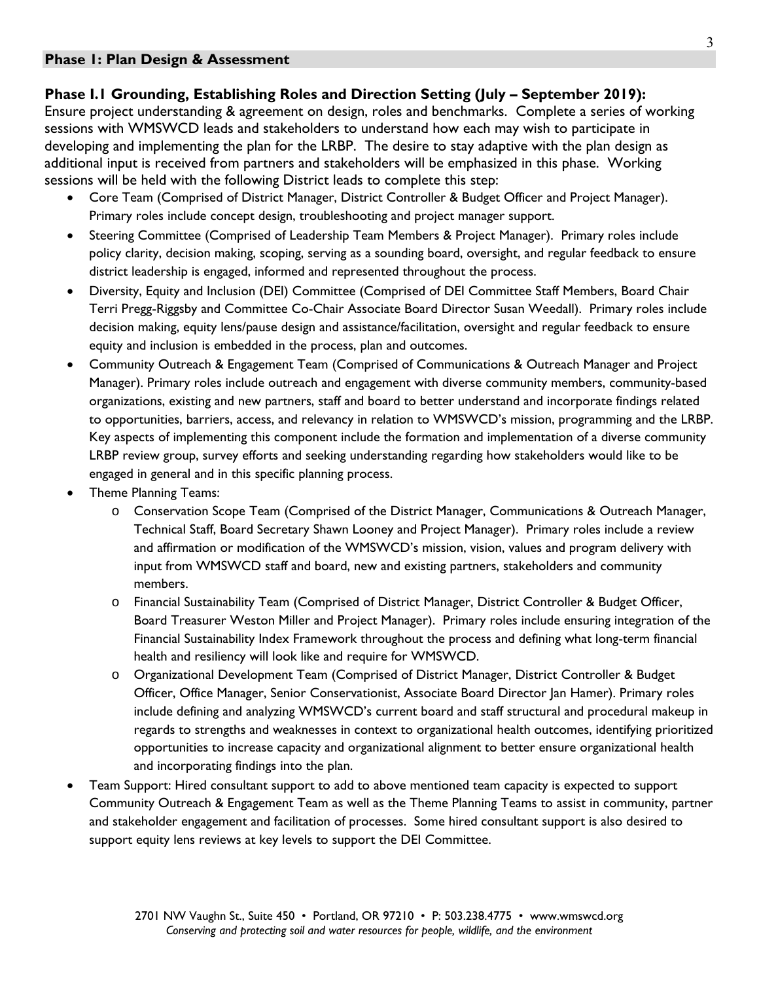## **Phase I.1 Grounding, Establishing Roles and Direction Setting (July – September 2019):**

Ensure project understanding & agreement on design, roles and benchmarks. Complete a series of working sessions with WMSWCD leads and stakeholders to understand how each may wish to participate in developing and implementing the plan for the LRBP. The desire to stay adaptive with the plan design as additional input is received from partners and stakeholders will be emphasized in this phase. Working sessions will be held with the following District leads to complete this step:

- Core Team (Comprised of District Manager, District Controller & Budget Officer and Project Manager). Primary roles include concept design, troubleshooting and project manager support.
- Steering Committee (Comprised of Leadership Team Members & Project Manager). Primary roles include policy clarity, decision making, scoping, serving as a sounding board, oversight, and regular feedback to ensure district leadership is engaged, informed and represented throughout the process.
- Diversity, Equity and Inclusion (DEI) Committee (Comprised of DEI Committee Staff Members, Board Chair Terri Pregg-Riggsby and Committee Co-Chair Associate Board Director Susan Weedall). Primary roles include decision making, equity lens/pause design and assistance/facilitation, oversight and regular feedback to ensure equity and inclusion is embedded in the process, plan and outcomes.
- Community Outreach & Engagement Team (Comprised of Communications & Outreach Manager and Project Manager). Primary roles include outreach and engagement with diverse community members, community-based organizations, existing and new partners, staff and board to better understand and incorporate findings related to opportunities, barriers, access, and relevancy in relation to WMSWCD's mission, programming and the LRBP. Key aspects of implementing this component include the formation and implementation of a diverse community LRBP review group, survey efforts and seeking understanding regarding how stakeholders would like to be engaged in general and in this specific planning process.
- Theme Planning Teams:
	- o Conservation Scope Team (Comprised of the District Manager, Communications & Outreach Manager, Technical Staff, Board Secretary Shawn Looney and Project Manager). Primary roles include a review and affirmation or modification of the WMSWCD's mission, vision, values and program delivery with input from WMSWCD staff and board, new and existing partners, stakeholders and community members.
	- o Financial Sustainability Team (Comprised of District Manager, District Controller & Budget Officer, Board Treasurer Weston Miller and Project Manager). Primary roles include ensuring integration of the Financial Sustainability Index Framework throughout the process and defining what long-term financial health and resiliency will look like and require for WMSWCD.
	- o Organizational Development Team (Comprised of District Manager, District Controller & Budget Officer, Office Manager, Senior Conservationist, Associate Board Director Jan Hamer). Primary roles include defining and analyzing WMSWCD's current board and staff structural and procedural makeup in regards to strengths and weaknesses in context to organizational health outcomes, identifying prioritized opportunities to increase capacity and organizational alignment to better ensure organizational health and incorporating findings into the plan.
- Team Support: Hired consultant support to add to above mentioned team capacity is expected to support Community Outreach & Engagement Team as well as the Theme Planning Teams to assist in community, partner and stakeholder engagement and facilitation of processes. Some hired consultant support is also desired to support equity lens reviews at key levels to support the DEI Committee.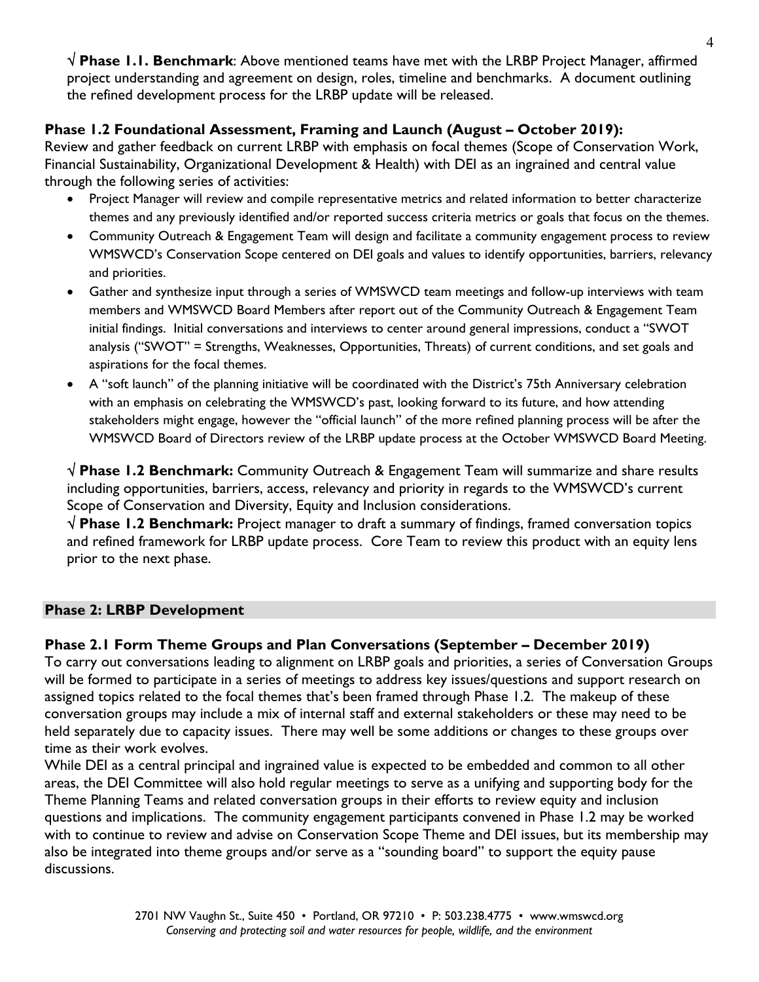**Phase 1.1. Benchmark**: Above mentioned teams have met with the LRBP Project Manager, affirmed project understanding and agreement on design, roles, timeline and benchmarks. A document outlining the refined development process for the LRBP update will be released.

## **Phase 1.2 Foundational Assessment, Framing and Launch (August – October 2019):**

Review and gather feedback on current LRBP with emphasis on focal themes (Scope of Conservation Work, Financial Sustainability, Organizational Development & Health) with DEI as an ingrained and central value through the following series of activities:

- Project Manager will review and compile representative metrics and related information to better characterize themes and any previously identified and/or reported success criteria metrics or goals that focus on the themes.
- Community Outreach & Engagement Team will design and facilitate a community engagement process to review WMSWCD's Conservation Scope centered on DEI goals and values to identify opportunities, barriers, relevancy and priorities.
- Gather and synthesize input through a series of WMSWCD team meetings and follow-up interviews with team members and WMSWCD Board Members after report out of the Community Outreach & Engagement Team initial findings. Initial conversations and interviews to center around general impressions, conduct a "SWOT analysis ("SWOT" = Strengths, Weaknesses, Opportunities, Threats) of current conditions, and set goals and aspirations for the focal themes.
- A "soft launch" of the planning initiative will be coordinated with the District's 75th Anniversary celebration with an emphasis on celebrating the WMSWCD's past, looking forward to its future, and how attending stakeholders might engage, however the "official launch" of the more refined planning process will be after the WMSWCD Board of Directors review of the LRBP update process at the October WMSWCD Board Meeting.

 **Phase 1.2 Benchmark:** Community Outreach & Engagement Team will summarize and share results including opportunities, barriers, access, relevancy and priority in regards to the WMSWCD's current Scope of Conservation and Diversity, Equity and Inclusion considerations.

 **Phase 1.2 Benchmark:** Project manager to draft a summary of findings, framed conversation topics and refined framework for LRBP update process. Core Team to review this product with an equity lens prior to the next phase.

## **Phase 2: LRBP Development**

## **Phase 2.1 Form Theme Groups and Plan Conversations (September – December 2019)**

To carry out conversations leading to alignment on LRBP goals and priorities, a series of Conversation Groups will be formed to participate in a series of meetings to address key issues/questions and support research on assigned topics related to the focal themes that's been framed through Phase 1.2. The makeup of these conversation groups may include a mix of internal staff and external stakeholders or these may need to be held separately due to capacity issues. There may well be some additions or changes to these groups over time as their work evolves.

While DEI as a central principal and ingrained value is expected to be embedded and common to all other areas, the DEI Committee will also hold regular meetings to serve as a unifying and supporting body for the Theme Planning Teams and related conversation groups in their efforts to review equity and inclusion questions and implications. The community engagement participants convened in Phase 1.2 may be worked with to continue to review and advise on Conservation Scope Theme and DEI issues, but its membership may also be integrated into theme groups and/or serve as a "sounding board" to support the equity pause discussions.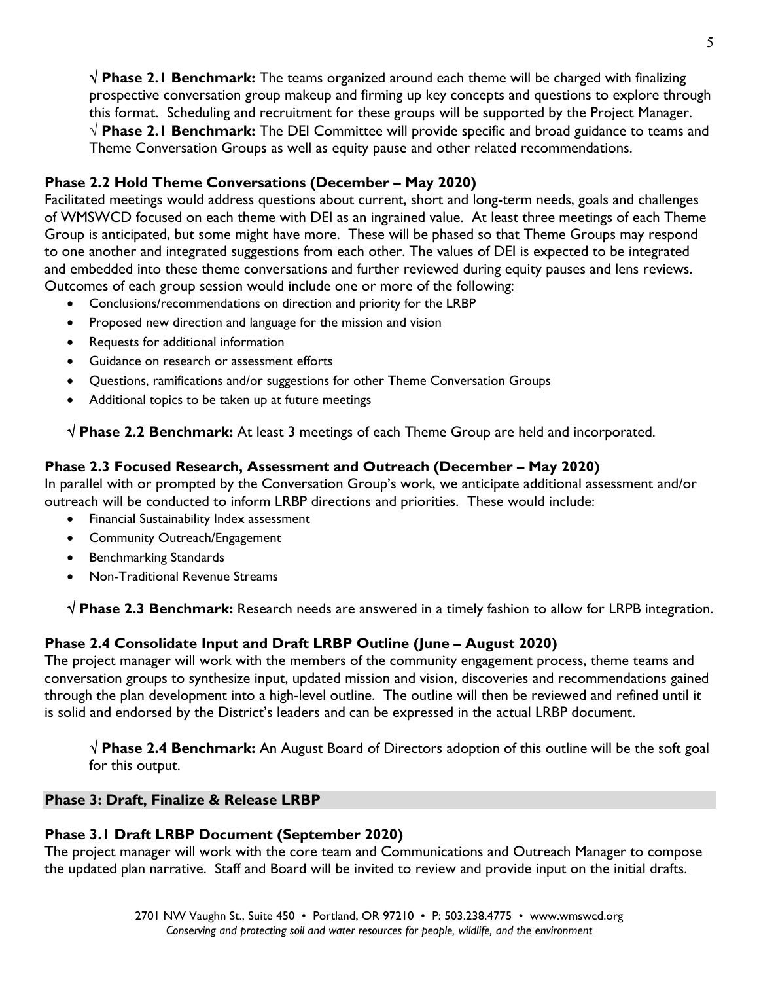**Phase 2.1 Benchmark:** The teams organized around each theme will be charged with finalizing prospective conversation group makeup and firming up key concepts and questions to explore through this format. Scheduling and recruitment for these groups will be supported by the Project Manager. **Phase 2.1 Benchmark:** The DEI Committee will provide specific and broad guidance to teams and Theme Conversation Groups as well as equity pause and other related recommendations.

## **Phase 2.2 Hold Theme Conversations (December – May 2020)**

Facilitated meetings would address questions about current, short and long-term needs, goals and challenges of WMSWCD focused on each theme with DEI as an ingrained value. At least three meetings of each Theme Group is anticipated, but some might have more. These will be phased so that Theme Groups may respond to one another and integrated suggestions from each other. The values of DEI is expected to be integrated and embedded into these theme conversations and further reviewed during equity pauses and lens reviews. Outcomes of each group session would include one or more of the following:

- Conclusions/recommendations on direction and priority for the LRBP
- Proposed new direction and language for the mission and vision
- Requests for additional information
- Guidance on research or assessment efforts
- Questions, ramifications and/or suggestions for other Theme Conversation Groups
- Additional topics to be taken up at future meetings

 **Phase 2.2 Benchmark:** At least 3 meetings of each Theme Group are held and incorporated.

## **Phase 2.3 Focused Research, Assessment and Outreach (December – May 2020)**

In parallel with or prompted by the Conversation Group's work, we anticipate additional assessment and/or outreach will be conducted to inform LRBP directions and priorities. These would include:

- Financial Sustainability Index assessment
- Community Outreach/Engagement
- Benchmarking Standards
- Non-Traditional Revenue Streams

 **Phase 2.3 Benchmark:** Research needs are answered in a timely fashion to allow for LRPB integration.

## **Phase 2.4 Consolidate Input and Draft LRBP Outline (June – August 2020)**

The project manager will work with the members of the community engagement process, theme teams and conversation groups to synthesize input, updated mission and vision, discoveries and recommendations gained through the plan development into a high-level outline. The outline will then be reviewed and refined until it is solid and endorsed by the District's leaders and can be expressed in the actual LRBP document.

 **Phase 2.4 Benchmark:** An August Board of Directors adoption of this outline will be the soft goal for this output.

## **Phase 3: Draft, Finalize & Release LRBP**

## **Phase 3.1 Draft LRBP Document (September 2020)**

The project manager will work with the core team and Communications and Outreach Manager to compose the updated plan narrative. Staff and Board will be invited to review and provide input on the initial drafts.